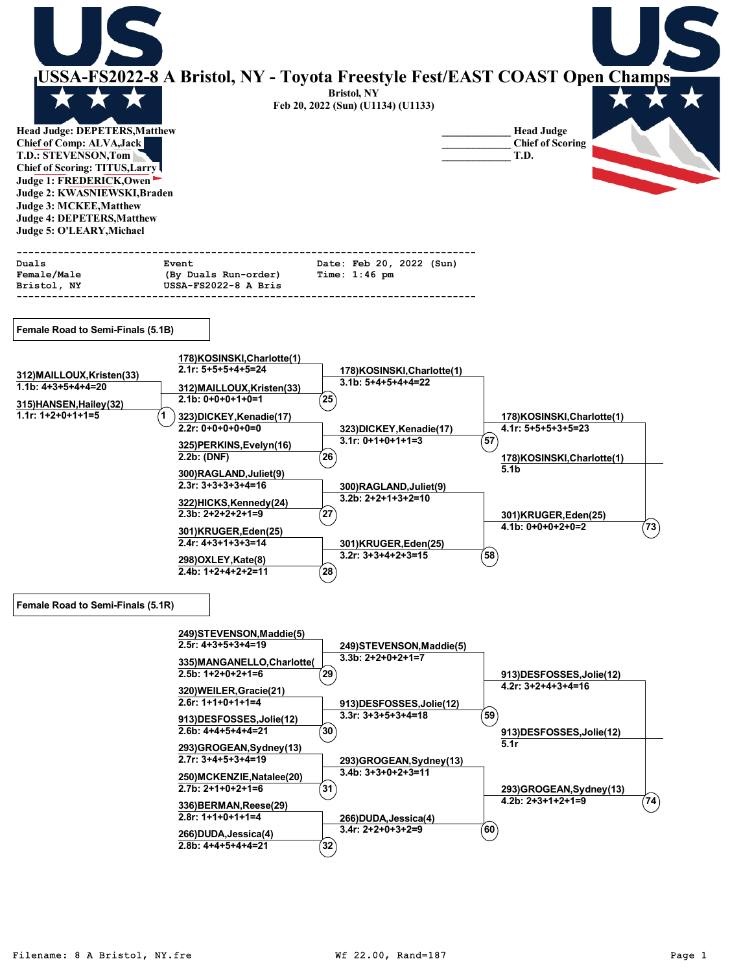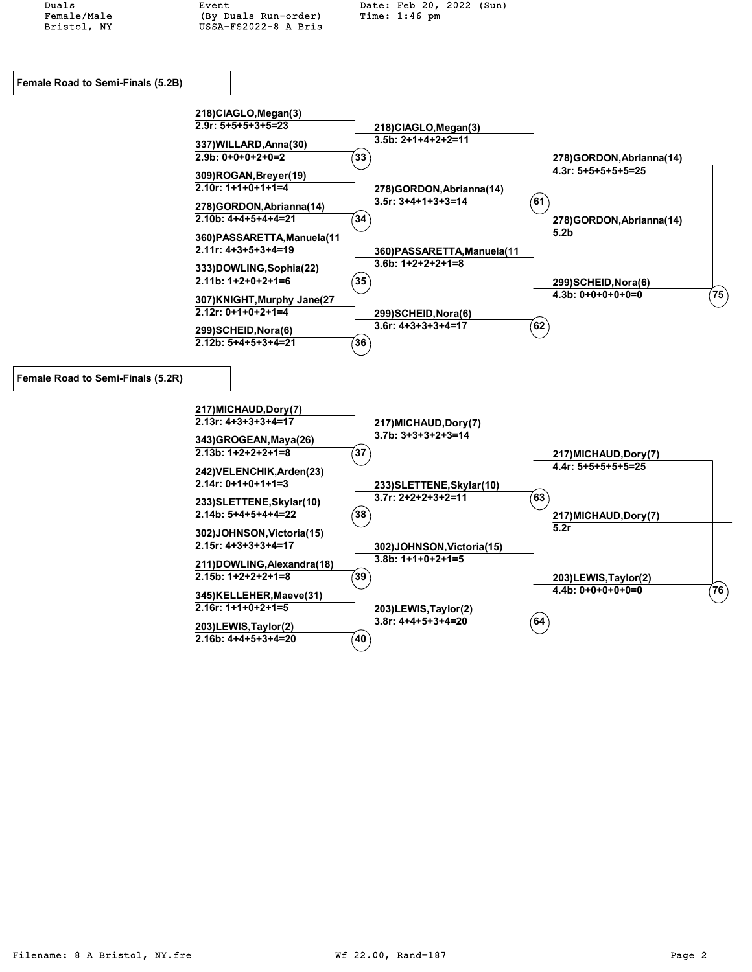Female/Male (By Duals Run-order)<br>Bristol, NY USSA-FS2022-8 A Bris USSA-FS2022-8 A Bris

Duals Event Event Date: Feb 20, 2022 (Sun)<br>Female/Male (By Duals Run-order) Time: 1:46 pm



| 233) SLETTENE, Skylar (10) | $3.7r: 2+2+2+3+2=11$      | 63 |                        |  |
|----------------------------|---------------------------|----|------------------------|--|
| $2.14b: 5+4+5+4+4=22$      | $38^{\circ}$              |    | 217) MICHAUD, Dory (7) |  |
| 302)JOHNSON, Victoria(15)  |                           |    | 5.2r                   |  |
| $2.15r: 4+3+3+3+4=17$      | 302)JOHNSON, Victoria(15) |    |                        |  |
| 211)DOWLING, Alexandra(18) | $3.8b: 1+1+0+2+1=5$       |    |                        |  |
| $2.15b: 1+2+2+2+1=8$       | 39                        |    | 203)LEWIS, Taylor(2)   |  |
| 345)KELLEHER, Maeve(31)    |                           |    | $4.4b: 0+0+0+0+0=0$    |  |
| $2.16r$ : 1+1+0+2+1=5      | 203)LEWIS, Taylor(2)      |    |                        |  |
| 203)LEWIS, Taylor(2)       | $3.8r: 4+4+5+3+4=20$      | 64 |                        |  |
| $2.16b: 4+4+5+3+4=20$      | 40                        |    |                        |  |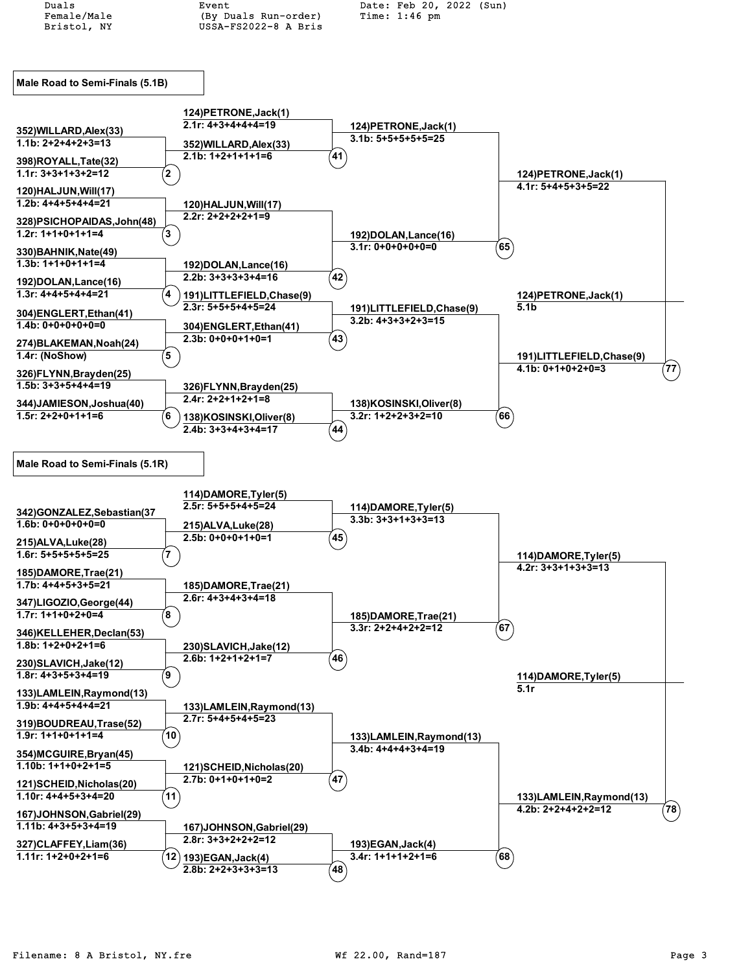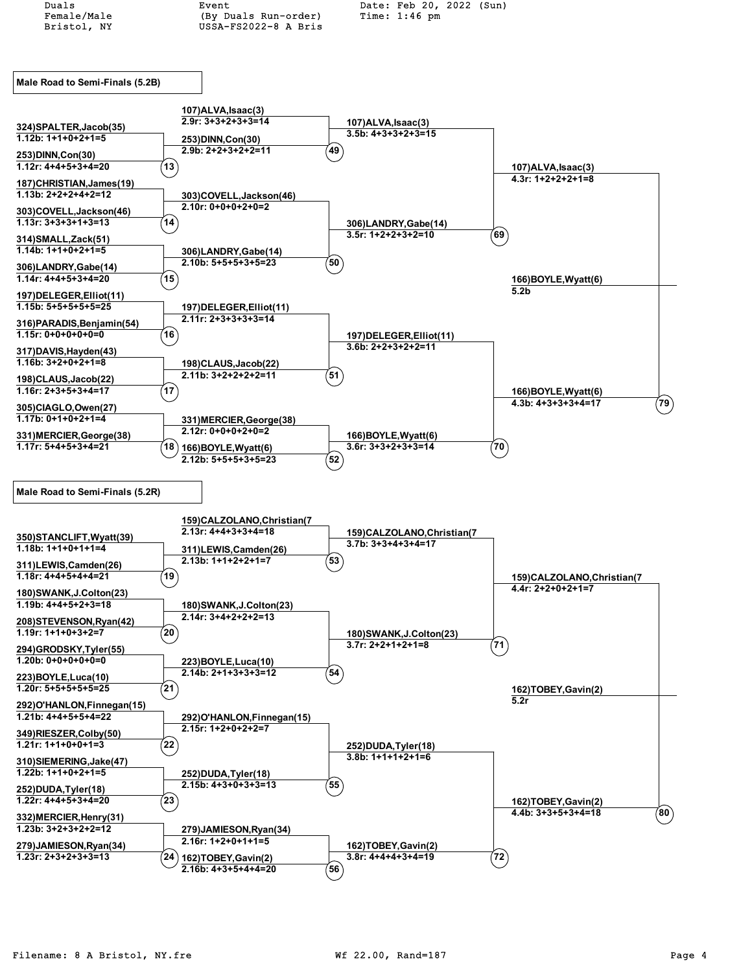